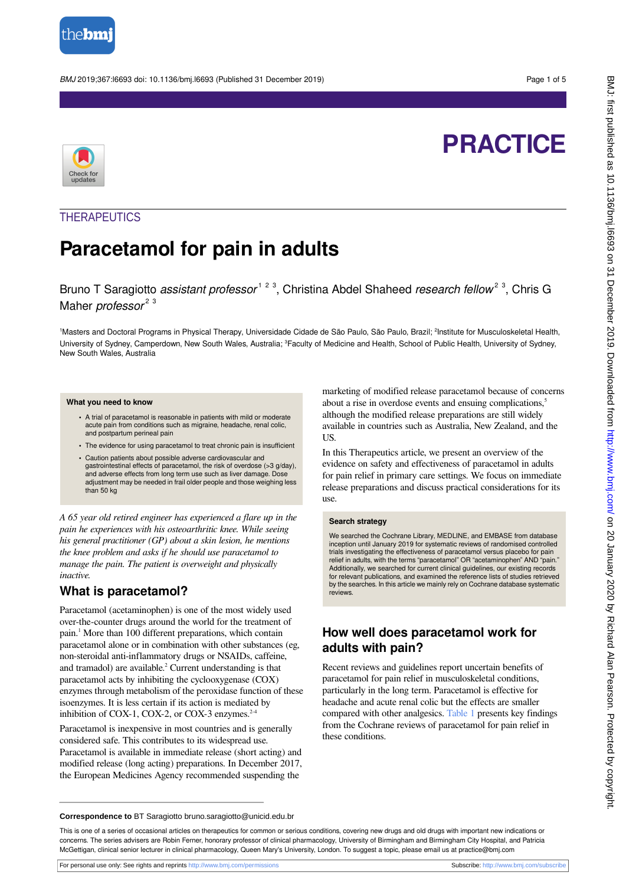

BMJ 2019;367:l6693 doi: 10.1136/bmj.l6693 (Published 31 December 2019) Page 1 of 5

# **PRACTICE**



## **THERAPEUTICS**

## **Paracetamol for pain in adults**

Bruno T Saragiotto *assistant professor*<sup>123</sup>, Christina Abdel Shaheed research fellow<sup>23</sup>, Chris G Maher *professor*<sup>23</sup>

<sup>1</sup>Masters and Doctoral Programs in Physical Therapy, Universidade Cidade de São Paulo, São Paulo, Brazil; <sup>2</sup>Institute for Musculoskeletal Health, University of Sydney, Camperdown, New South Wales, Australia; <sup>3</sup>Faculty of Medicine and Health, School of Public Health, University of Sydney, New South Wales, Australia

#### **What you need to know**

- **•** A trial of paracetamol is reasonable in patients with mild or moderate acute pain from conditions such as migraine, headache, renal colic, and postpartum perineal pain
- **•** The evidence for using paracetamol to treat chronic pain is insufficient
- **•** Caution patients about possible adverse cardiovascular and gastrointestinal effects of paracetamol, the risk of overdose (>3 g/day), and adverse effects from long term use such as liver damage. Dose adjustment may be needed in frail older people and those weighing less than 50 kg

*A 65 year old retired engineer has experienced a flare up in the pain he experiences with his osteoarthritic knee. While seeing his general practitioner (GP) about a skin lesion, he mentions the knee problem and asks if he should use paracetamol to manage the pain. The patient is overweight and physically inactive.*

### **What is paracetamol?**

Paracetamol (acetaminophen) is one of the most widely used over-the-counter drugs around the world for the treatment of pain.<sup>1</sup> More than 100 different preparations, which contain paracetamol alone or in combination with other substances (eg, non-steroidal anti-inflammatory drugs or NSAIDs, caffeine, and tramadol) are available.<sup>2</sup> Current understanding is that paracetamol acts by inhibiting the cyclooxygenase (COX) enzymes through metabolism of the peroxidase function of these isoenzymes. It is less certain if its action is mediated by inhibition of COX-1, COX-2, or COX-3 enzymes. $2$ 

Paracetamol is inexpensive in most countries and is generally considered safe. This contributes to its widespread use. Paracetamol is available in immediate release (short acting) and modified release (long acting) preparations. In December 2017, the European Medicines Agency recommended suspending the

marketing of modified release paracetamol because of concerns about a rise in overdose events and ensuing complications,<sup>5</sup> although the modified release preparations are still widely available in countries such as Australia, New Zealand, and the US.

In this Therapeutics article, we present an overview of the evidence on safety and effectiveness of paracetamol in adults for pain relief in primary care settings. We focus on immediate release preparations and discuss practical considerations for its use.

#### **Search strategy**

We searched the Cochrane Library, MEDLINE, and EMBASE from database inception until January 2019 for systematic reviews of randomised controlled trials investigating the effectiveness of paracetamol versus placebo for pain relief in adults, with the terms "paracetamol" OR "acetaminophen" AND "pain." Additionally, we searched for current clinical guidelines, our existing records for relevant publications, and examined the reference lists of studies retrieved by the searches. In this article we mainly rely on Cochrane database systematic reviews.

## **How well does paracetamol work for adults with pain?**

Recent reviews and guidelines report uncertain benefits of paracetamol for pain relief in musculoskeletal conditions, particularly in the long term. Paracetamol is effective for headache and acute renal colic but the effects are smaller compared with other analgesics. [Table 1](#page-4-0) presents key findings from the Cochrane reviews of paracetamol for pain relief in these conditions.

**Correspondence to** BT Saragiotto bruno.saragiotto@unicid.edu.br

This is one of a series of occasional articles on therapeutics for common or serious conditions, covering new drugs and old drugs with important new indications or concerns. The series advisers are Robin Ferner, honorary professor of clinical pharmacology, University of Birmingham and Birmingham City Hospital, and Patricia McGettigan, clinical senior lecturer in clinical pharmacology, Queen Mary's University, London. To suggest a topic, please email us at practice@bmj.com

For personal use only: See rights and reprints<http://www.bmj.com/permissions> Subscribe: <http://www.bmj.com/subscribe>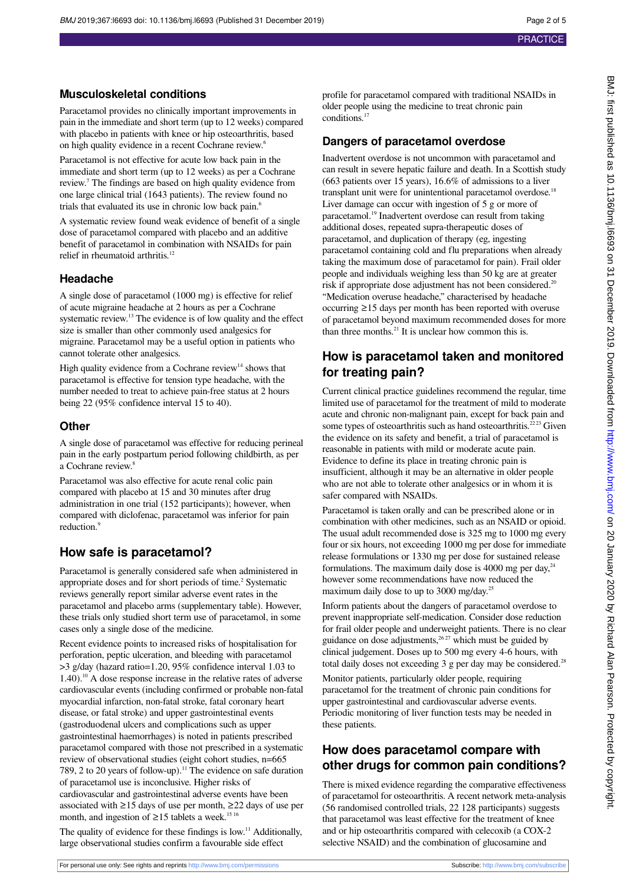#### **Musculoskeletal conditions**

Paracetamol provides no clinically important improvements in pain in the immediate and short term (up to 12 weeks) compared with placebo in patients with knee or hip osteoarthritis, based on high quality evidence in a recent Cochrane review.<sup>6</sup>

Paracetamol is not effective for acute low back pain in the immediate and short term (up to 12 weeks) as per a Cochrane review.<sup>7</sup> The findings are based on high quality evidence from one large clinical trial (1643 patients). The review found no trials that evaluated its use in chronic low back pain.<sup>6</sup>

A systematic review found weak evidence of benefit of a single dose of paracetamol compared with placebo and an additive benefit of paracetamol in combination with NSAIDs for pain relief in rheumatoid arthritis.<sup>12</sup>

#### **Headache**

A single dose of paracetamol (1000 mg) is effective for relief of acute migraine headache at 2 hours as per a Cochrane systematic review.<sup>13</sup> The evidence is of low quality and the effect size is smaller than other commonly used analgesics for migraine. Paracetamol may be a useful option in patients who cannot tolerate other analgesics.

High quality evidence from a Cochrane review<sup>14</sup> shows that paracetamol is effective for tension type headache, with the number needed to treat to achieve pain-free status at 2 hours being 22 (95% confidence interval 15 to 40).

#### **Other**

A single dose of paracetamol was effective for reducing perineal pain in the early postpartum period following childbirth, as per a Cochrane review.<sup>8</sup>

Paracetamol was also effective for acute renal colic pain compared with placebo at 15 and 30 minutes after drug administration in one trial (152 participants); however, when compared with diclofenac, paracetamol was inferior for pain reduction.<sup>9</sup>

## **How safe is paracetamol?**

Paracetamol is generally considered safe when administered in appropriate doses and for short periods of time.<sup>2</sup> Systematic reviews generally report similar adverse event rates in the paracetamol and placebo arms (supplementary table). However, these trials only studied short term use of paracetamol, in some cases only a single dose of the medicine.

Recent evidence points to increased risks of hospitalisation for perforation, peptic ulceration, and bleeding with paracetamol >3 g/day (hazard ratio=1.20, 95% confidence interval 1.03 to  $1.40$ .<sup>10</sup> A dose response increase in the relative rates of adverse cardiovascular events (including confirmed or probable non-fatal myocardial infarction, non-fatal stroke, fatal coronary heart disease, or fatal stroke) and upper gastrointestinal events (gastroduodenal ulcers and complications such as upper gastrointestinal haemorrhages) is noted in patients prescribed paracetamol compared with those not prescribed in a systematic review of observational studies (eight cohort studies, n=665 789, 2 to 20 years of follow-up).<sup>11</sup> The evidence on safe duration of paracetamol use is inconclusive. Higher risks of cardiovascular and gastrointestinal adverse events have been associated with ≥15 days of use per month, ≥22 days of use per month, and ingestion of  $\geq$ 15 tablets a week.<sup>15 16</sup>

The quality of evidence for these findings is low.<sup>11</sup> Additionally, large observational studies confirm a favourable side effect

profile for paracetamol compared with traditional NSAIDs in older people using the medicine to treat chronic pain conditions.<sup>17</sup>

#### **Dangers of paracetamol overdose**

Inadvertent overdose is not uncommon with paracetamol and can result in severe hepatic failure and death. In a Scottish study (663 patients over 15 years), 16.6% of admissions to a liver transplant unit were for unintentional paracetamol overdose.<sup>18</sup> Liver damage can occur with ingestion of 5 g or more of paracetamol.<sup>19</sup> Inadvertent overdose can result from taking additional doses, repeated supra-therapeutic doses of paracetamol, and duplication of therapy (eg, ingesting paracetamol containing cold and flu preparations when already taking the maximum dose of paracetamol for pain). Frail older people and individuals weighing less than 50 kg are at greater risk if appropriate dose adjustment has not been considered.<sup>20</sup> "Medication overuse headache," characterised by headache occurring ≥15 days per month has been reported with overuse of paracetamol beyond maximum recommended doses for more than three months. $21$  It is unclear how common this is.

## **How is paracetamol taken and monitored for treating pain?**

Current clinical practice guidelines recommend the regular, time limited use of paracetamol for the treatment of mild to moderate acute and chronic non-malignant pain, except for back pain and some types of osteoarthritis such as hand osteoarthritis.<sup>2223</sup> Given the evidence on its safety and benefit, a trial of paracetamol is reasonable in patients with mild or moderate acute pain. Evidence to define its place in treating chronic pain is insufficient, although it may be an alternative in older people who are not able to tolerate other analgesics or in whom it is safer compared with NSAIDs.

Paracetamol is taken orally and can be prescribed alone or in combination with other medicines, such as an NSAID or opioid. The usual adult recommended dose is 325 mg to 1000 mg every four or six hours, not exceeding 1000 mg per dose for immediate release formulations or 1330 mg per dose for sustained release formulations. The maximum daily dose is 4000 mg per day, $24$ however some recommendations have now reduced the maximum daily dose to up to 3000 mg/day.<sup>25</sup>

Inform patients about the dangers of paracetamol overdose to prevent inappropriate self-medication. Consider dose reduction for frail older people and underweight patients. There is no clear guidance on dose adjustments,  $2627$  which must be guided by clinical judgement. Doses up to 500 mg every 4-6 hours, with total daily doses not exceeding 3 g per day may be considered.<sup>28</sup>

Monitor patients, particularly older people, requiring paracetamol for the treatment of chronic pain conditions for upper gastrointestinal and cardiovascular adverse events. Periodic monitoring of liver function tests may be needed in these patients.

## **How does paracetamol compare with other drugs for common pain conditions?**

There is mixed evidence regarding the comparative effectiveness of paracetamol for osteoarthritis. A recent network meta-analysis (56 randomised controlled trials, 22 128 participants) suggests that paracetamol was least effective for the treatment of knee and or hip osteoarthritis compared with celecoxib (a COX-2 selective NSAID) and the combination of glucosamine and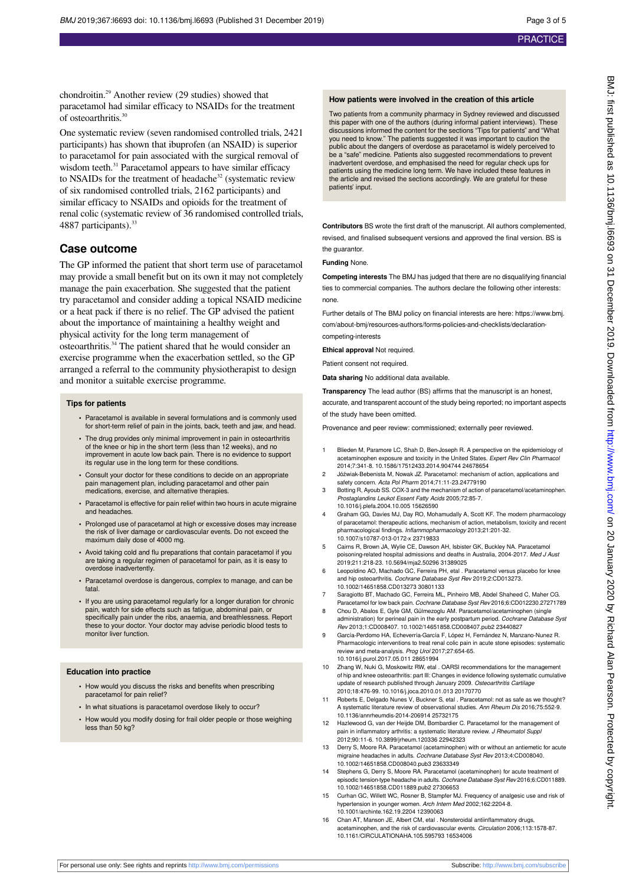chondroitin.<sup>29</sup> Another review (29 studies) showed that paracetamol had similar efficacy to NSAIDs for the treatment of osteoarthritis.<sup>30</sup>

One systematic review (seven randomised controlled trials, 2421 participants) has shown that ibuprofen (an NSAID) is superior to paracetamol for pain associated with the surgical removal of wisdom teeth.<sup>31</sup> Paracetamol appears to have similar efficacy to NSAIDs for the treatment of headache<sup>32</sup> (systematic review of six randomised controlled trials, 2162 participants) and similar efficacy to NSAIDs and opioids for the treatment of renal colic (systematic review of 36 randomised controlled trials, 4887 participants).<sup>33</sup>

#### **Case outcome**

The GP informed the patient that short term use of paracetamol may provide a small benefit but on its own it may not completely manage the pain exacerbation. She suggested that the patient try paracetamol and consider adding a topical NSAID medicine or a heat pack if there is no relief. The GP advised the patient about the importance of maintaining a healthy weight and physical activity for the long term management of osteoarthritis.<sup>34</sup> The patient shared that he would consider an exercise programme when the exacerbation settled, so the GP arranged a referral to the community physiotherapist to design and monitor a suitable exercise programme.

#### **Tips for patients**

- **•** Paracetamol is available in several formulations and is commonly used for short-term relief of pain in the joints, back, teeth and jaw, and head.
- **•** The drug provides only minimal improvement in pain in osteoarthritis of the knee or hip in the short term (less than 12 weeks), and no improvement in acute low back pain. There is no evidence to support its regular use in the long term for these conditions.
- **•** Consult your doctor for these conditions to decide on an appropriate pain management plan, including paracetamol and other pair medications, exercise, and alternative therapies.
- **•** Paracetamol is effective for pain relief within two hours in acute migraine and headaches.
- **•** Prolonged use of paracetamol at high or excessive doses may increase the risk of liver damage or cardiovascular events. Do not exceed the maximum daily dose of 4000 mg.
- **•** Avoid taking cold and flu preparations that contain paracetamol if you are taking a regular regimen of paracetamol for pain, as it is easy to overdose inadvertently.
- **•** Paracetamol overdose is dangerous, complex to manage, and can be fatal.
- **•** If you are using paracetamol regularly for a longer duration for chronic pain, watch for side effects such as fatigue, abdominal pain, or specifically pain under the ribs, anaemia, and breathlessness. Report these to your doctor. Your doctor may advise periodic blood tests to monitor liver function.

#### **Education into practice**

- **•** How would you discuss the risks and benefits when prescribing paracetamol for pain relief?
- **•** In what situations is paracetamol overdose likely to occur?
- **•** How would you modify dosing for frail older people or those weighing less than 50 kg?

#### **How patients were involved in the creation of this article**

Two patients from a community pharmacy in Sydney reviewed and discussed this paper with one of the authors (during informal patient interviews). These discussions informed the content for the sections "Tips for patients" and "What you need to know." The patients suggested it was important to caution the public about the dangers of overdose as paracetamol is widely perceived to be a "safe" medicine. Patients also suggested recommendations to prevent inadvertent overdose, and emphasised the need for regular check ups for patients using the medicine long term. We have included these features in the article and revised the sections accordingly. We are grateful for these patients' input.

**Contributors** BS wrote the first draft of the manuscript. All authors complemented, revised, and finalised subsequent versions and approved the final version. BS is the guarantor.

#### **Funding** None.

**Competing interests** The BMJ has judged that there are no disqualifying financial ties to commercial companies. The authors declare the following other interests: none.

Further details of The BMJ policy on financial interests are here: https://www.bmj. com/about-bmj/resources-authors/forms-policies-and-checklists/declarationcompeting-interests

**Ethical approval** Not required.

Patient consent not required.

**Data sharing** No additional data available.

**Transparency** The lead author (BS) affirms that the manuscript is an honest, accurate, and transparent account of the study being reported; no important aspects of the study have been omitted.

Provenance and peer review: commissioned; externally peer reviewed.

- 1 Blieden M, Paramore LC, Shah D, Ben-Joseph R. A perspective on the epidemiology of acetaminophen exposure and toxicity in the United States. Expert Rev Clin Pharmacol 2014;7:341-8. 10.1586/17512433.2014.904744 24678654
- 2 Jóźwiak-Bebenista M, Nowak JZ. Paracetamol: mechanism of action, applications and safety concern. Acta Pol Pharm 2014;71:11-23.24779190
- 3 Botting R, Ayoub SS. COX-3 and the mechanism of action of paracetamol/acetaminophen. Prostaglandins Leukot Essent Fatty Acids 2005;72:85-7. 10.1016/j.plefa.2004.10.005 15626590
- 4 Graham GG, Davies MJ, Day RO, Mohamudally A, Scott KF. The modern pharmacology of paracetamol: therapeutic actions, mechanism of action, metabolism, toxicity and recent rmacological findings. Inflammopharmacology 2013;21:201-32. 10.1007/s10787-013-0172-x 23719833
- 5 Cairns R, Brown JA, Wylie CE, Dawson AH, Isbister GK, Buckley NA. Paracetamol poisoning-related hospital admissions and deaths in Australia, 2004-2017. Med J Aust 2019;211:218-23. 10.5694/mja2.50296 31389025
- 6 Leopoldino AO, Machado GC, Ferreira PH, etal . Paracetamol versus placebo for knee and hip osteoarthritis. Cochrane Database Syst Rev 2019;2:CD013273. 10.1002/14651858.CD013273 30801133
- Saragiotto BT, Machado GC, Ferreira ML, Pinheiro MB, Abdel Shaheed C, Maher CG. Paracetamol for low back pain. Cochrane Database Syst Rev 2016;6:CD012230.27271789
- 8 Chou D, Abalos E, Gyte GM, Gülmezoglu AM. Paracetamol/acetaminophen (single administration) for perineal pain in the early postpartum period. Cochrane Database Syst
- Rev 2013;1:CD008407. 10.1002/14651858.CD008407.pub2 23440827 9 García-Perdomo HA, Echeverría-García F, López H, Fernández N, Manzano-Nunez R. Pharmacologic interventions to treat renal colic pain in acute stone episodes: systematic review and meta-analysis. Prog Urol 2017;27:654-65. 10.1016/j.purol.2017.05.011 28651994
- 10 Zhang W, Nuki G, Moskowitz RW, etal . OARSI recommendations for the management of hip and knee osteoarthritis: part III: Changes in evidence following systematic cumulative update of research published through January 2009. Osteoarthritis Cartilage 2010;18:476-99. 10.1016/j.joca.2010.01.013 20170770
- Roberts E, Delgado Nunes V, Buckner S, etal . Paracetamol: not as safe as we thought? A systematic literature review of observational studies. Ann Rheum Dis 2016;75:552-9. 10.1136/annrheumdis-2014-206914 25732175
- 12 Hazlewood G, van der Heijde DM, Bombardier C. Paracetamol for the management of pain in inflammatory arthritis: a systematic literature review. J Rheumatol Suppl 2012;90:11-6. 10.3899/jrheum.120336 22942323
- 13 Derry S, Moore RA. Paracetamol (acetaminophen) with or without an antiemetic for acute migraine headaches in adults. Cochrane Database Syst Rev 2013;4:CD008040. 10.1002/14651858.CD008040.pub3 23633349
- 14 Stephens G, Derry S, Moore RA. Paracetamol (acetaminophen) for acute treatment of episodic tension-type headache in adults. Cochrane Database Syst Rev 2016;6:CD011889. 10.1002/14651858.CD011889.pub2 27306653
- 15 Curhan GC, Willett WC, Rosner B, Stampfer MJ. Frequency of analgesic use and risk of hypertension in younger women. Arch Intern Med 2002;162:2204-8. 10.1001/archinte.162.19.2204 12390063
- 16 Chan AT, Manson JE, Albert CM, etal . Nonsteroidal antiinflammatory drugs, acetaminophen, and the risk of cardiovascular events. Circulation 2006;113:1578-87. 10.1161/CIRCULATIONAHA.105.595793 16534006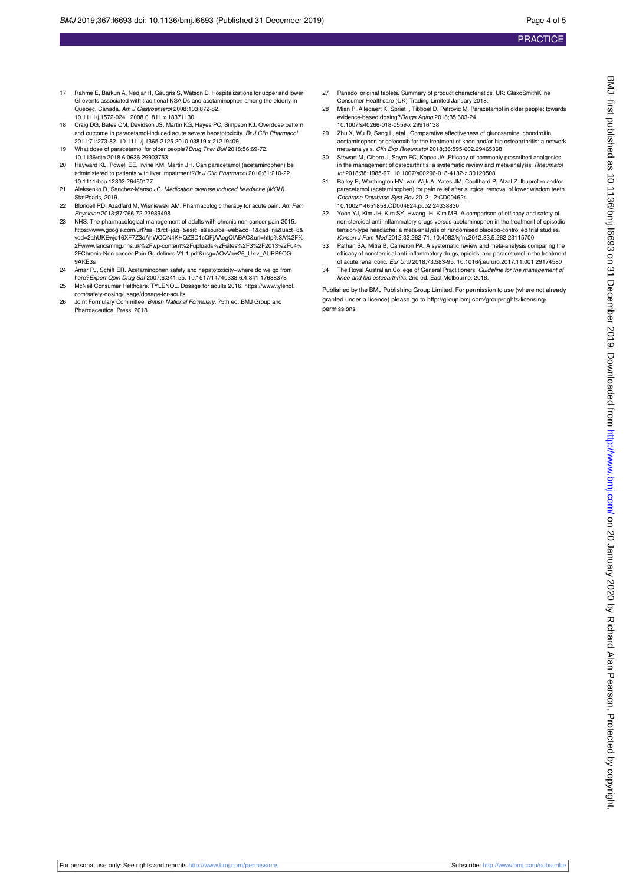- 17 Rahme E, Barkun A, Nedjar H, Gaugris S, Watson D. Hospitalizations for upper and lower GI events associated with traditional NSAIDs and acetaminophen among the elderly in Quebec, Canada. Am J Gastroenterol 2008;103:872-82. 10.1111/j.1572-0241.2008.01811.x 18371130
- 18 Craig DG, Bates CM, Davidson JS, Martin KG, Hayes PC, Simpson KJ. Overdose pattern and outcome in paracetamol-induced acute severe hepatotoxicity. Br J Clin Pharmacol 2011;71:273-82. 10.1111/j.1365-2125.2010.03819.x 21219409
- 19 What dose of paracetamol for older people?Drug Ther Bull 2018;56:69-72. 10.1136/dtb.2018.6.0636 29903753
- 20 Hayward KL, Powell EE, Irvine KM, Martin JH. Can paracetamol (acetaminophen) be administered to patients with liver impairment?Br J Clin Pharmacol 2016;81:210-22. 10.1111/bcp.12802 26460177
- 21 Aleksenko D, Sanchez-Manso JC. Medication overuse induced headache (MOH). StatPearls, 2019.
- 22 Blondell RD, Azadfard M, Wisniewski AM. Pharmacologic therapy for acute pain. Am Fam Physician 2013;87:766-72.23939498
- 23 NHS. The pharmacological management of adults with chronic non-cancer pain 2015. https://www.google.com/url?sa=t&rct=j&q=&esrc=s&source=web&cd=1&cad=rja&uact=8& ved=2ahUKEwjo16XF7Z3dAhWOQN4KHQZSD1cQFjAAegQIABAC&url=http%3A%2F% 2Fwww.lancsmmg.nhs.uk%2Fwp-content%2Fuploads%2Fsites%2F3%2F2013%2F04% 2FChronic-Non-cancer-Pain-Guidelines-V1.1.pdf&usg=AOvVaw26\_Ux-v\_AUPP9OG-9AKE3s
- 24 Amar PJ, Schiff ER. Acetaminophen safety and hepatotoxicity−where do we go from here?Expert Opin Drug Saf 2007;6:341-55. 10.1517/14740338.6.4.341 17688378
- 25 McNeil Consumer Helthcare. TYLENOL. Dosage for adults 2016. https://www.tylenol. com/safety-dosing/usage/dosage-for-adults
- 26 Joint Formulary Committee. British National Formulary. 75th ed. BMJ Group and Pharmaceutical Press, 2018.
- 27 Panadol original tablets. Summary of product characteristics. UK: GlaxoSmithKline Consumer Healthcare (UK) Trading Limited January 2018.
- 28 Mian P, Allegaert K, Spriet I, Tibboel D, Petrovic M. Paracetamol in older people: towards evidence-based dosing?Drugs Aging 2018;35:603-24. 10.1007/s40266-018-0559-x 29916138
- 29 Zhu X, Wu D, Sang L, etal . Comparative effectiveness of glucosamine, chondroitin, acetaminophen or celecoxib for the treatment of knee and/or hip osteoarthritis: a network meta-analysis. Clin Exp Rheumatol 2018;36:595-602.29465368
- 30 Stewart M, Cibere J, Sayre EC, Kopec JA. Efficacy of commonly prescribed analgesics in the management of osteoarthritis: a systematic review and meta-analysis. Rheumatol Int 2018;38:1985-97. 10.1007/s00296-018-4132-z 30120508
- 31 Bailey E, Worthington HV, van Wijk A, Yates JM, Coulthard P, Afzal Z. Ibuprofen and/or paracetamol (acetaminophen) for pain relief after surgical removal of lower wisdom teeth. Cochrane Database Syst Rev 2013;12:CD004624. 10.1002/14651858.CD004624.pub2 24338830
- 32 Yoon YJ, Kim JH, Kim SY, Hwang IH, Kim MR. A comparison of efficacy and safety of non-steroidal anti-inflammatory drugs versus acetaminophen in the treatment of episodic tension-type headache: a meta-analysis of randomised placebo-controlled trial studies. Korean J Fam Med 2012;33:262-71. 10.4082/kjfm.2012.33.5.262 23115700
- 33 Pathan SA, Mitra B, Cameron PA. A systematic review and meta-analysis comparing the efficacy of nonsteroidal anti-inflammatory drugs, opioids, and paracetamol in the treatment of acute renal colic. Eur Urol 2018;73:583-95. 10.1016/j.eururo.2017.11.001 29174580
- 34 The Royal Australian College of General Practitioners. Guideline for the management of knee and hip osteoarthritis. 2nd ed. East Melbourne, 2018.

Published by the BMJ Publishing Group Limited. For permission to use (where not already granted under a licence) please go to [http://group.bmj.com/group/rights-licensing/](http://group.bmj.com/group/rights-licensing/permissions) [permissions](http://group.bmj.com/group/rights-licensing/permissions)